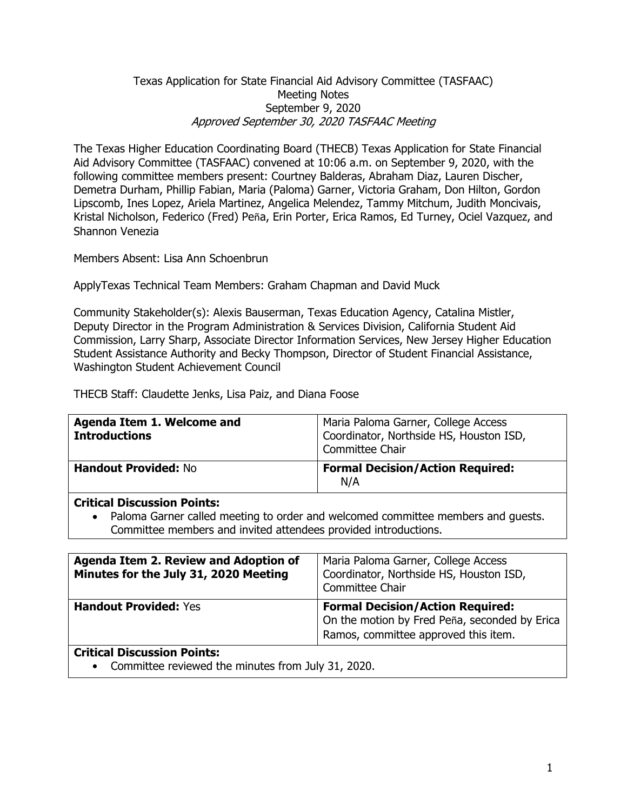### Texas Application for State Financial Aid Advisory Committee (TASFAAC) Meeting Notes September 9, 2020 Approved September 30, 2020 TASFAAC Meeting

The Texas Higher Education Coordinating Board (THECB) Texas Application for State Financial Aid Advisory Committee (TASFAAC) convened at 10:06 a.m. on September 9, 2020, with the following committee members present: Courtney Balderas, Abraham Diaz, Lauren Discher, Demetra Durham, Phillip Fabian, Maria (Paloma) Garner, Victoria Graham, Don Hilton, Gordon Lipscomb, Ines Lopez, Ariela Martinez, Angelica Melendez, Tammy Mitchum, Judith Moncivais, Kristal Nicholson, Federico (Fred) Peña, Erin Porter, Erica Ramos, Ed Turney, Ociel Vazquez, and Shannon Venezia

Members Absent: Lisa Ann Schoenbrun

ApplyTexas Technical Team Members: Graham Chapman and David Muck

Community Stakeholder(s): Alexis Bauserman, Texas Education Agency, Catalina Mistler, Deputy Director in the Program Administration & Services Division, California Student Aid Commission, Larry Sharp, Associate Director Information Services, New Jersey Higher Education Student Assistance Authority and Becky Thompson, Director of Student Financial Assistance, Washington Student Achievement Council

THECB Staff: Claudette Jenks, Lisa Paiz, and Diana Foose

| Agenda Item 1. Welcome and<br><b>Introductions</b> | Maria Paloma Garner, College Access<br>Coordinator, Northside HS, Houston ISD,<br>Committee Chair |
|----------------------------------------------------|---------------------------------------------------------------------------------------------------|
| <b>Handout Provided: No</b>                        | <b>Formal Decision/Action Required:</b><br>N/A                                                    |

#### **Critical Discussion Points:**

• Paloma Garner called meeting to order and welcomed committee members and guests. Committee members and invited attendees provided introductions.

| Agenda Item 2. Review and Adoption of<br>Minutes for the July 31, 2020 Meeting | Maria Paloma Garner, College Access<br>Coordinator, Northside HS, Houston ISD,<br>Committee Chair                                |
|--------------------------------------------------------------------------------|----------------------------------------------------------------------------------------------------------------------------------|
| <b>Handout Provided: Yes</b>                                                   | <b>Formal Decision/Action Required:</b><br>On the motion by Fred Peña, seconded by Erica<br>Ramos, committee approved this item. |
| <b>Critical Discussion Points:</b>                                             |                                                                                                                                  |

• Committee reviewed the minutes from July 31, 2020.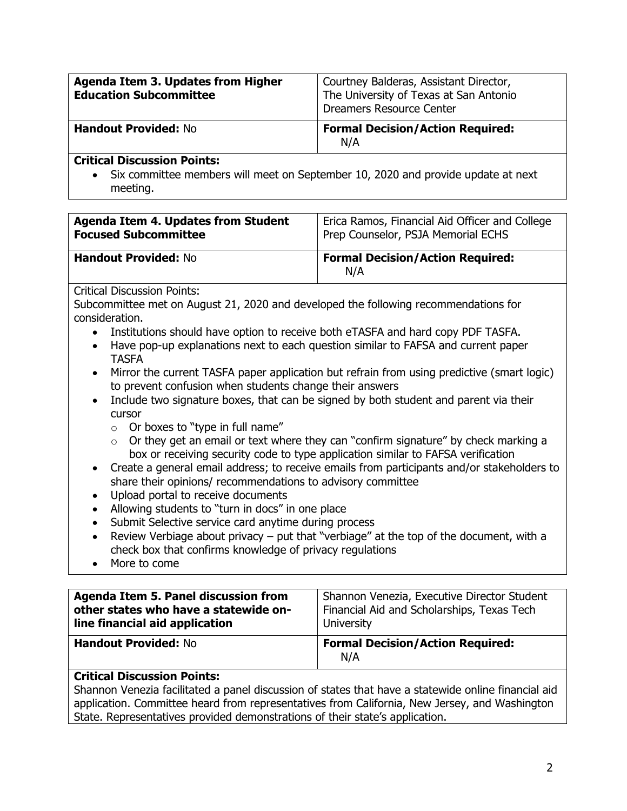| Agenda Item 3. Updates from Higher<br><b>Education Subcommittee</b> | Courtney Balderas, Assistant Director,<br>The University of Texas at San Antonio<br><b>Dreamers Resource Center</b> |
|---------------------------------------------------------------------|---------------------------------------------------------------------------------------------------------------------|
| <b>Handout Provided: No</b>                                         | <b>Formal Decision/Action Required:</b><br>N/A                                                                      |
| Additional Binancenters Betries                                     |                                                                                                                     |

#### **Critical Discussion Points:**

• Six committee members will meet on September 10, 2020 and provide update at next meeting.

| <b>Agenda Item 4. Updates from Student</b> | Erica Ramos, Financial Aid Officer and College |
|--------------------------------------------|------------------------------------------------|
| <b>Focused Subcommittee</b>                | Prep Counselor, PSJA Memorial ECHS             |
| <b>Handout Provided: No</b>                | <b>Formal Decision/Action Required:</b><br>N/A |

Critical Discussion Points:

Subcommittee met on August 21, 2020 and developed the following recommendations for consideration.

- Institutions should have option to receive both eTASFA and hard copy PDF TASFA.
- Have pop-up explanations next to each question similar to FAFSA and current paper TASFA
- Mirror the current TASFA paper application but refrain from using predictive (smart logic) to prevent confusion when students change their answers
- Include two signature boxes, that can be signed by both student and parent via their cursor
	- $\circ$  Or boxes to "type in full name"
	- $\circ$  Or they get an email or text where they can "confirm signature" by check marking a box or receiving security code to type application similar to FAFSA verification
- Create a general email address; to receive emails from participants and/or stakeholders to share their opinions/ recommendations to advisory committee
- Upload portal to receive documents
- Allowing students to "turn in docs" in one place
- Submit Selective service card anytime during process
- Review Verbiage about privacy put that "verbiage" at the top of the document, with a check box that confirms knowledge of privacy regulations
- More to come

| <b>Agenda Item 5. Panel discussion from</b> | Shannon Venezia, Executive Director Student    |
|---------------------------------------------|------------------------------------------------|
| other states who have a statewide on-       | Financial Aid and Scholarships, Texas Tech     |
| line financial aid application              | University                                     |
| <b>Handout Provided: No</b>                 | <b>Formal Decision/Action Required:</b><br>N/A |

### **Critical Discussion Points:**

Shannon Venezia facilitated a panel discussion of states that have a statewide online financial aid application. Committee heard from representatives from California, New Jersey, and Washington State. Representatives provided demonstrations of their state's application.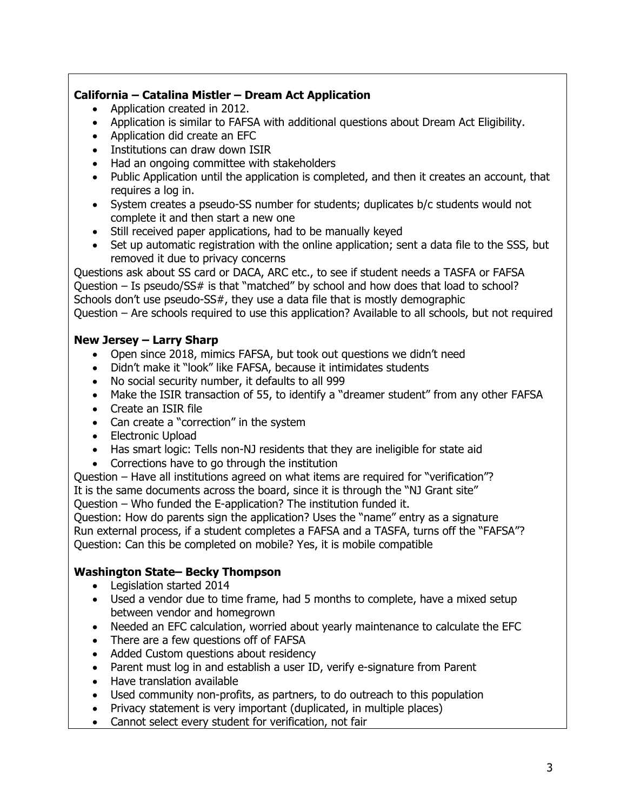## **California – Catalina Mistler – Dream Act Application**

- Application created in 2012.
- Application is similar to FAFSA with additional questions about Dream Act Eligibility.
- Application did create an EFC
- Institutions can draw down ISIR
- Had an ongoing committee with stakeholders
- Public Application until the application is completed, and then it creates an account, that requires a log in.
- System creates a pseudo-SS number for students; duplicates b/c students would not complete it and then start a new one
- Still received paper applications, had to be manually keyed
- Set up automatic registration with the online application; sent a data file to the SSS, but removed it due to privacy concerns

Questions ask about SS card or DACA, ARC etc., to see if student needs a TASFA or FAFSA Question – Is pseudo/SS# is that "matched" by school and how does that load to school? Schools don't use pseudo-SS#, they use a data file that is mostly demographic Question – Are schools required to use this application? Available to all schools, but not required

## **New Jersey – Larry Sharp**

- Open since 2018, mimics FAFSA, but took out questions we didn't need
- Didn't make it "look" like FAFSA, because it intimidates students
- No social security number, it defaults to all 999
- Make the ISIR transaction of 55, to identify a "dreamer student" from any other FAFSA
- Create an ISIR file
- Can create a "correction" in the system
- Electronic Upload
- Has smart logic: Tells non-NJ residents that they are ineligible for state aid
- Corrections have to go through the institution
- Question Have all institutions agreed on what items are required for "verification"? It is the same documents across the board, since it is through the "NJ Grant site" Question – Who funded the E-application? The institution funded it.

Question: How do parents sign the application? Uses the "name" entry as a signature Run external process, if a student completes a FAFSA and a TASFA, turns off the "FAFSA"? Question: Can this be completed on mobile? Yes, it is mobile compatible

# **Washington State– Becky Thompson**

- Legislation started 2014
- Used a vendor due to time frame, had 5 months to complete, have a mixed setup between vendor and homegrown
- Needed an EFC calculation, worried about yearly maintenance to calculate the EFC
- There are a few questions off of FAFSA
- Added Custom questions about residency
- Parent must log in and establish a user ID, verify e-signature from Parent
- Have translation available
- Used community non-profits, as partners, to do outreach to this population
- Privacy statement is very important (duplicated, in multiple places)
- Cannot select every student for verification, not fair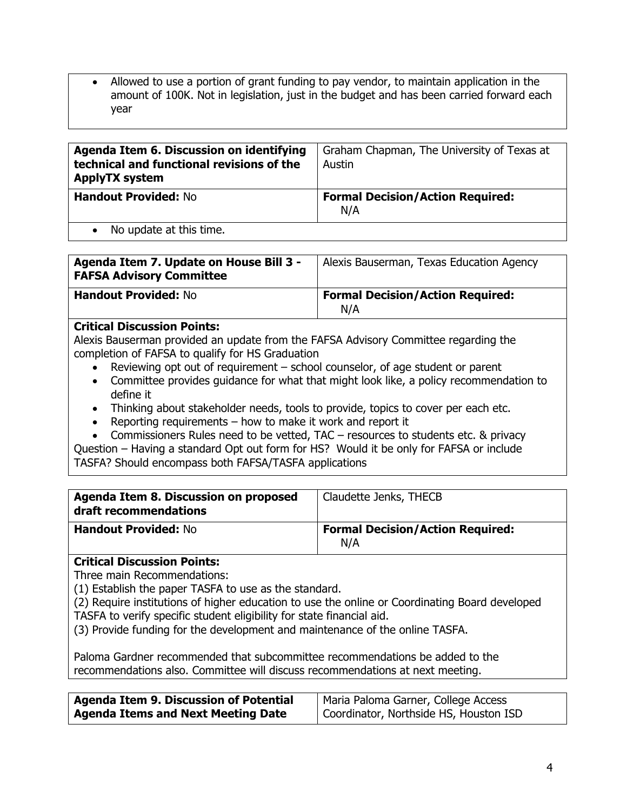• Allowed to use a portion of grant funding to pay vendor, to maintain application in the amount of 100K. Not in legislation, just in the budget and has been carried forward each year

| Agenda Item 6. Discussion on identifying<br>technical and functional revisions of the<br><b>ApplyTX system</b> | Graham Chapman, The University of Texas at<br>Austin |
|----------------------------------------------------------------------------------------------------------------|------------------------------------------------------|
| <b>Handout Provided: No</b>                                                                                    | <b>Formal Decision/Action Required:</b><br>N/A       |
| Aloundate at this time                                                                                         |                                                      |

• No update at this time.

| Agenda Item 7. Update on House Bill 3 -<br><b>FAFSA Advisory Committee</b> | Alexis Bauserman, Texas Education Agency       |
|----------------------------------------------------------------------------|------------------------------------------------|
| <b>Handout Provided: No</b>                                                | <b>Formal Decision/Action Required:</b><br>N/A |

### **Critical Discussion Points:**

Alexis Bauserman provided an update from the FAFSA Advisory Committee regarding the completion of FAFSA to qualify for HS Graduation

- Reviewing opt out of requirement school counselor, of age student or parent
- Committee provides guidance for what that might look like, a policy recommendation to define it
- Thinking about stakeholder needs, tools to provide, topics to cover per each etc.
- Reporting requirements how to make it work and report it
- Commissioners Rules need to be vetted, TAC resources to students etc. & privacy

Question – Having a standard Opt out form for HS? Would it be only for FAFSA or include TASFA? Should encompass both FAFSA/TASFA applications

| Agenda Item 8. Discussion on proposed<br>draft recommendations | Claudette Jenks, THECB                         |
|----------------------------------------------------------------|------------------------------------------------|
| <b>Handout Provided: No</b>                                    | <b>Formal Decision/Action Required:</b><br>N/A |

# **Critical Discussion Points:**

Three main Recommendations:

(1) Establish the paper TASFA to use as the standard.

(2) Require institutions of higher education to use the online or Coordinating Board developed TASFA to verify specific student eligibility for state financial aid.

(3) Provide funding for the development and maintenance of the online TASFA.

Paloma Gardner recommended that subcommittee recommendations be added to the recommendations also. Committee will discuss recommendations at next meeting.

| Agenda Item 9. Discussion of Potential    | Maria Paloma Garner, College Access    |
|-------------------------------------------|----------------------------------------|
| <b>Agenda Items and Next Meeting Date</b> | Coordinator, Northside HS, Houston ISD |